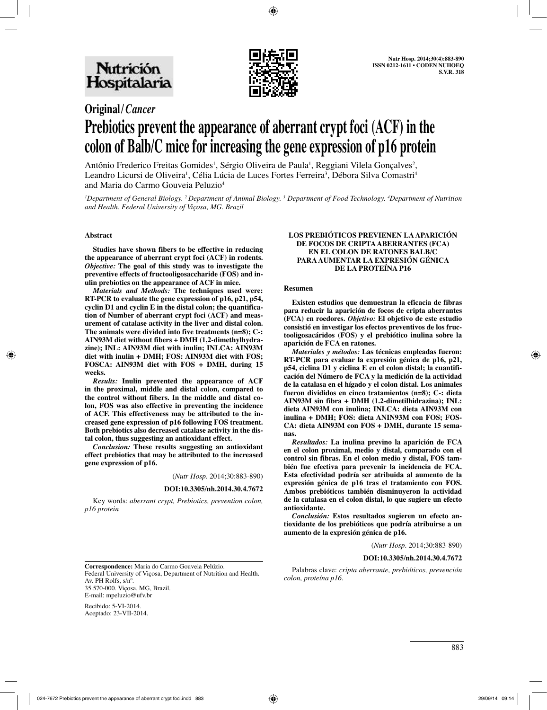

## **Original/***Cancer* **Prebiotics prevent the appearance of aberrant crypt foci (ACF) in the colon of Balb/C mice for increasing the gene expression of p16 protein**

Antônio Frederico Freitas Gomides<sup>1</sup>, Sérgio Oliveira de Paula<sup>1</sup>, Reggiani Vilela Gonçalves<sup>2</sup>, Leandro Licursi de Oliveira<sup>1</sup>, Célia Lúcia de Luces Fortes Ferreira<sup>3</sup>, Débora Silva Comastri<sup>4</sup> and Maria do Carmo Gouveia Peluzio<sup>4</sup>

*1 Department of General Biology. 2 Department of Animal Biology. 3 Department of Food Technology. 4 Department of Nutrition and Health. Federal University of Viçosa, MG. Brazil*

#### **Abstract**

Studies have shown fibers to be effective in reducing the appearance of aberrant crypt foci (ACF) in rodents. *Objective:* The goal of this study was to investigate the *Objective:* **The goal of this study was to investigate the preventive effects of fructooligosaccharide (FOS) and inulin prebiotics on the appearance of ACF in mice.** 

*Materials and Methods:* **The techniques used were: RT-PCR to evaluate the gene expression of p16, p21, p54, cyclin D1 and cyclin E in the distal colon; the quantification of Number of aberrant crypt foci (ACF) and meas-**The animals were divided into five treatments (n=8); C-: AIN93M diet without fibers + DMH (1,2-dimethylhydrazine); INL: AIN93M diet with inulin; INLCA: AIN93M diet with inulin + DMH; FOS: AIN93M diet with FOS; FOSCA: AIN93M diet with FOS + DMH, during 15 weeks.<br> *Results*: Inulin prevented the appearance of ACF

in the proximal, middle and distal colon, compared to the control without fibers. In the middle and distal colon, FOS was also effective in preventing the incidence of ACF. This effectiveness may be attributed to the in**creased gene expression of p16 following FOS treatment. Both prebiotics also decreased catalase activity in the dis-**

**tal colon, thus suggesting an antioxidant effect.**  effect prebiotics that may be attributed to the increased gene expression of p16.

(*Nutr Hosp.* 2014;30:883-890)

#### **DOI:10.3305/nh.2014.30.4.7672**

Key words: *aberrant crypt, Prebiotics, prevention colon, p16 protein* 

# **LOS PREBIÓTICOS PREVIENEN LA APARICIÓN DE FOCOS DE CRIPTA ABERRANTES (FCA) EN EL COLON DE RATONES BALB/C PARA AUMENTAR LA EXPRESIÓN GÉNICA DE LA PROTEÍNA P16 Resumen**

Existen estudios que demuestran la eficacia de fibras<br>para reducir la aparición de focos de cripta aberrantes<br>(FCA) en roedores. *Objetivo*: El objetivo de este estudio<br>consistió en investigar los efectos preventivos de lo **tooligosacáridos (FOS) y el prebiótico inulina sobre la aparición de FCA en ratones.**

*Materiales y métodos:* **Las técnicas empleadas fueron: RT-PCR para evaluar la expresión génica de p16, p21, p54, ciclina D1 y ciclina E en el colon distal; la cuantifi**de la catalasa en el hígado y el colon distal. Los animales<br>fueron divididos en cinco tratamientos (n=8); C-: dieta<br>AIN93M sin fibra + DMH (1.2-dimetilhidrazina); INL:<br>dieta AIN93M con inulina; INLCA: dieta AIN93M con<br>inul **CA: dieta AIN93M con FOS + DMH, durante 15 semanas.**

*Resultados:* La inulina previno la aparición de FCA en el colon proximal, medio y distal, comparado con el control sin fibras. En el colon medio y distal, FOS también fue efectiva para prevenir la incidencia de FCA. Esta efectividad podría ser atribuida al aumento de la<br>expresión génica de p16 tras el tratamiento con FOS.<br>Ambos prebióticos también disminuyeron la actividad<br>de la catalasa en el colon distal, lo que sugiere un efecto<br>an

*Conclusión:* **Estos resultados sugieren un efecto antioxidante de los prebióticos que podría atribuirse a un aumento de la expresión génica de p16.**

(*Nutr Hosp.* 2014;30:883-890)

#### **DOI:10.3305/nh.2014.30.4.7672**

**Correspondence:** Maria do Carmo Gouveia Pelúzio. Federal University of Viçosa, Department of Nutrition and Health. Av. PH Rolfs, s/nº. 35.570-000. Viçosa, MG, Brazil. E-mail: mpeluzio@ufv.br

Palabras clave: *cripta aberrante, prebióticos, prevención colon, proteína p16.*

Recibido: 5-VI-2014. Aceptado: 23-VII-2014.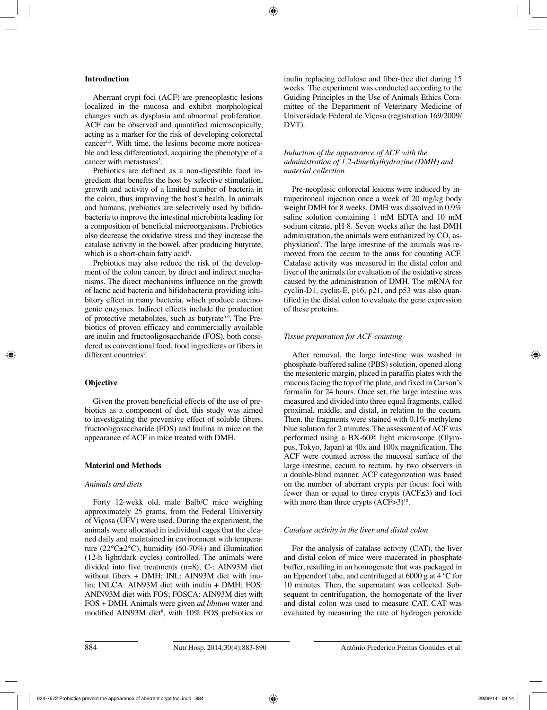#### **Introduction**

Aberrant crypt foci (ACF) are preneoplastic lesions localized in the mucosa and exhibit morphological changes such as dysplasia and abnormal proliferation. ACF can be observed and quantified microscopically, acting as a marker for the risk of developing colorectal cancer1,2. With time, the lesions become more noticeable and less differentiated, acquiring the phenotype of a cancer with metastases<sup>3</sup>.

Prebiotics are defined as a non-digestible food ingredient that benefits the host by selective stimulation, growth and activity of a limited number of bacteria in the colon, thus improving the host's health. In animals and humans, prebiotics are selectively used by bifidobacteria to improve the intestinal microbiota leading for a composition of beneficial microorganisms. Prebiotics also decrease the oxidative stress and they increase the catalase activity in the bowel, after producing butyrate, which is a short-chain fatty acid<sup>4</sup>.

Prebiotics may also reduce the risk of the development of the colon cancer, by direct and indirect mechanisms. The direct mechanisms influence on the growth of lactic acid bacteria and bifidobacteria providing inhibitory effect in many bacteria, which produce carcinogenic enzymes. Indirect effects include the production of protective metabolites, such as butyrate<sup>5,6</sup>. The Prebiotics of proven efficacy and commercially available are inulin and fructooligosaccharide (FOS), both considered as conventional food, food ingredients or fibers in different countries<sup>7</sup>.

#### **Objective**

Given the proven beneficial effects of the use of prebiotics as a component of diet, this study was aimed to investigating the preventive effect of soluble fibers, fructooligosaccharide (FOS) and Inulina in mice on the appearance of ACF in mice treated with DMH.

#### **Material and Methods**

#### *Animals and diets*

Forty 12-wekk old, male Balb/C mice weighing approximately 25 grams, from the Federal University of Viçosa (UFV) were used. During the experiment, the animals were allocated in individual cages that the cleaned daily and maintained in environment with temperature ( $22^{\circ}$ C $\pm 2^{\circ}$ C), humidity (60-70%) and illumination (12-h light/dark cycles) controlled. The animals were divided into five treatments (n=8); C-: AIN93M diet without fibers + DMH; INL: AIN93M diet with inulin; INLCA: AIN93M diet with inulin + DMH; FOS: ANIN93M diet with FOS; FOSCA: AIN93M diet with FOS + DMH. Animals were given *ad libitum* water and modified AIN93M diet<sup>8</sup>, with 10% FOS prebiotics or inulin replacing cellulose and fiber-free diet during 15 weeks. The experiment was conducted according to the Guiding Principles in the Use of Animals Ethics Committee of the Department of Veterinary Medicine of Universidade Federal de Viçosa (registration 169/2009/ DVT).

#### *Induction of the appearance of ACF with the administration of 1,2-dimethylhydrazine (DMH) and material collection*

Pre-neoplasic colorectal lesions were induced by intraperitoneal injection once a week of 20 mg/kg body weight DMH for 8 weeks. DMH was dissolved in 0.9% saline solution containing 1 mM EDTA and 10 mM sodium citrate, pH 8. Seven weeks after the last DMH administration, the animals were euthanized by  $CO<sub>2</sub>$  asphyxiation<sup>9</sup>. The large intestine of the animals was removed from the cecum to the anus for counting ACF. Catalase activity was measured in the distal colon and liver of the animals for evaluation of the oxidative stress caused by the administration of DMH. The mRNA for cyclin-D1, cyclin-E, p16, p21, and p53 was also quantified in the distal colon to evaluate the gene expression of these proteins.

#### *Tissue preparation for ACF counting*

After removal, the large intestine was washed in phosphate-buffered saline (PBS) solution, opened along the mesenteric margin, placed in paraffin plates with the mucous facing the top of the plate, and fixed in Carson's formalin for 24 hours. Once set, the large intestine was measured and divided into three equal fragments, called proximal, middle, and distal, in relation to the cecum. Then, the fragments were stained with 0.1% methylene blue solution for 2 minutes. The assessment of ACF was performed using a BX-60® light microscope (Olympus, Tokyo, Japan) at 40x and 100x magnification. The ACF were counted across the mucosal surface of the large intestine, cecum to rectum, by two observers in a double-blind manner. ACF categorization was based on the number of aberrant crypts per focus: foci with fewer than or equal to three crypts (ACF≤3) and foci with more than three crypts  $(ACF>3)^{10}$ .

#### *Catalase activity in the liver and distal colon*

For the analysis of catalase activity (CAT), the liver and distal colon of mice were macerated in phosphate buffer, resulting in an homogenate that was packaged in an Eppendorf tube, and centrifuged at 6000 g at 4 ºC for 10 minutes. Then, the supernatant was collected. Subsequent to centrifugation, the homogenate of the liver and distal colon was used to measure CAT. CAT was evaluated by measuring the rate of hydrogen peroxide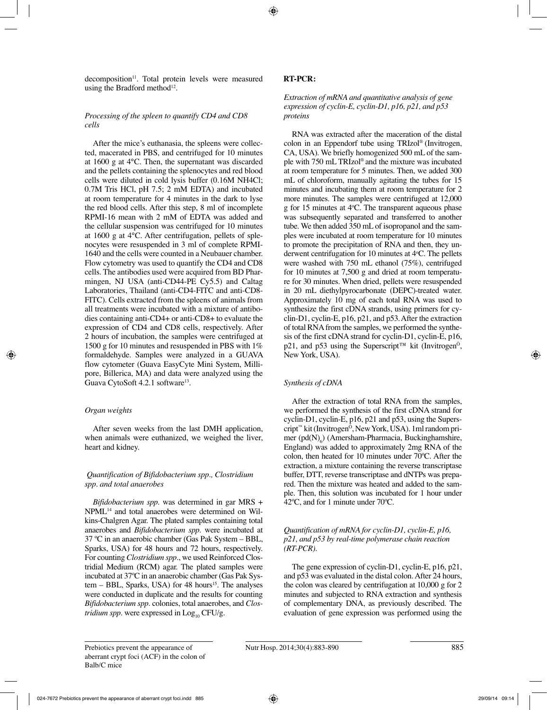decomposition<sup>11</sup>. Total protein levels were measured using the Bradford method<sup>12</sup>.

### *Processing of the spleen to quantify CD4 and CD8 cells*

After the mice's euthanasia, the spleens were collected, macerated in PBS, and centrifuged for 10 minutes at 1600 g at 4°C. Then, the supernatant was discarded and the pellets containing the splenocytes and red blood cells were diluted in cold lysis buffer (0.16M NH4Cl; 0.7M Tris HCl, pH 7.5; 2 mM EDTA) and incubated at room temperature for 4 minutes in the dark to lyse the red blood cells. After this step, 8 ml of incomplete RPMI-16 mean with 2 mM of EDTA was added and the cellular suspension was centrifuged for 10 minutes at 1600 g at 4°C. After centrifugation, pellets of splenocytes were resuspended in 3 ml of complete RPMI-1640 and the cells were counted in a Neubauer chamber. Flow cytometry was used to quantify the CD4 and CD8 cells. The antibodies used were acquired from BD Pharmingen, NJ USA (anti-CD44-PE Cy5.5) and Caltag Laboratories, Thailand (anti-CD4-FITC and anti-CD8- FITC). Cells extracted from the spleens of animals from all treatments were incubated with a mixture of antibodies containing anti-CD4+ or anti-CD8+ to evaluate the expression of CD4 and CD8 cells, respectively. After 2 hours of incubation, the samples were centrifuged at 1500 g for 10 minutes and resuspended in PBS with 1% formaldehyde. Samples were analyzed in a GUAVA flow cytometer (Guava EasyCyte Mini System, Millipore, Billerica, MA) and data were analyzed using the Guava CytoSoft 4.2.1 software<sup>13</sup>.

### *Organ weights*

After seven weeks from the last DMH application, when animals were euthanized, we weighed the liver, heart and kidney.

#### *Quantification of Bifidobacterium spp., Clostridium spp. and total anaerobes*

*Bifidobacterium spp.* was determined in gar MRS + NPML14 and total anaerobes were determined on Wilkins-Chalgren Agar. The plated samples containing total anaerobes and *Bifidobacterium spp*. were incubated at 37 ºC in an anaerobic chamber (Gas Pak System – BBL, Sparks, USA) for 48 hours and 72 hours, respectively. For counting *Clostridium spp.*, we used Reinforced Clostridial Medium (RCM) agar. The plated samples were incubated at 37ºC in an anaerobic chamber (Gas Pak Sys $tem - BBL$ , Sparks, USA) for 48 hours<sup>15</sup>. The analyses were conducted in duplicate and the results for counting *Bifidobacterium spp*. colonies, total anaerobes, and *Clostridium spp*. were expressed in  $Log_{10}$  CFU/g.

#### **RT-PCR:**

#### *Extraction of mRNA and quantitative analysis of gene expression of cyclin-E, cyclin-D1, p16, p21, and p53 proteins*

RNA was extracted after the maceration of the distal colon in an Eppendorf tube using TRIzol® (Invitrogen, CA, USA). We briefly homogenized 500 mL of the sample with 750 mL TRIzol® and the mixture was incubated at room temperature for 5 minutes. Then, we added 300 mL of chloroform, manually agitating the tubes for 15 minutes and incubating them at room temperature for 2 more minutes. The samples were centrifuged at 12,000 g for 15 minutes at  $4^{\circ}$ C. The transparent aqueous phase was subsequently separated and transferred to another tube. We then added 350 mL of isopropanol and the samples were incubated at room temperature for 10 minutes to promote the precipitation of RNA and then, they underwent centrifugation for 10 minutes at 4°C. The pellets were washed with 750 mL ethanol (75%), centrifuged for 10 minutes at 7,500 g and dried at room temperature for 30 minutes. When dried, pellets were resuspended in 20 mL diethylpyrocarbonate (DEPC)-treated water. Approximately 10 mg of each total RNA was used to synthesize the first cDNA strands, using primers for cyclin-D1, cyclin-E, p16, p21, and p53.After the extraction of total RNA from the samples, we performed the synthesis of the first cDNA strand for cyclin-D1, cyclin-E, p16, p21, and p53 using the Superscript<sup>™</sup> kit (Invitrogen<sup>o</sup>, New York, USA).

### *Synthesis of cDNA*

After the extraction of total RNA from the samples, we performed the synthesis of the first cDNA strand for cyclin-D1, cyclin-E, p16, p21 and p53, using the Superscript<sup>™</sup> kit (Invitrogen<sup> $\delta$ </sup>, New York, USA). 1ml random primer  $\text{(pd(N)}_6)$  (Amersham-Pharmacia, Buckinghamshire, England) was added to approximately 2mg RNA of the colon, then heated for 10 minutes under 70ºC. After the extraction, a mixture containing the reverse transcriptase buffer, DTT, reverse transcriptase and dNTPs was prepared. Then the mixture was heated and added to the sample. Then, this solution was incubated for 1 hour under 42ºC, and for 1 minute under 70ºC.

#### *Quantification of mRNA for cyclin-D1, cyclin-E, p16, p21, and p53 by real-time polymerase chain reaction (RT-PCR).*

The gene expression of cyclin-D1, cyclin-E, p16, p21, and p53 was evaluated in the distal colon. After 24 hours, the colon was cleared by centrifugation at 10,000 g for 2 minutes and subjected to RNA extraction and synthesis of complementary DNA, as previously described. The evaluation of gene expression was performed using the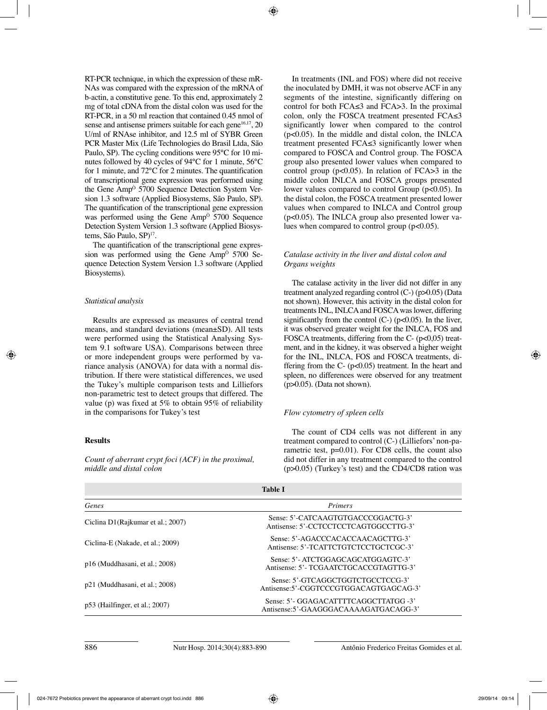RT-PCR technique, in which the expression of these mR-NAs was compared with the expression of the mRNA of b-actin, a constitutive gene. To this end, approximately 2 mg of total cDNA from the distal colon was used for the RT-PCR, in a 50 ml reaction that contained 0.45 nmol of sense and antisense primers suitable for each gene<sup>16,17</sup>, 20 U/ml of RNAse inhibitor, and 12.5 ml of SYBR Green PCR Master Mix (Life Technologies do Brasil Ltda, São Paulo, SP). The cycling conditions were 95°C for 10 minutes followed by 40 cycles of 94°C for 1 minute, 56°C for 1 minute, and 72°C for 2 minutes. The quantification of transcriptional gene expression was performed using the Gene Amp<sup> $\dot{o}$ </sup> 5700 Sequence Detection System Version 1.3 software (Applied Biosystems, São Paulo, SP). The quantification of the transcriptional gene expression was performed using the Gene Amp<sup>o</sup> 5700 Sequence Detection System Version 1.3 software (Applied Biosystems, São Paulo, SP)<sup>17</sup>.

The quantification of the transcriptional gene expression was performed using the Gene AmpÒ 5700 Sequence Detection System Version 1.3 software (Applied Biosystems).

#### *Statistical analysis*

Results are expressed as measures of central trend means, and standard deviations (mean±SD). All tests were performed using the Statistical Analysing System 9.1 software USA). Comparisons between three or more independent groups were performed by variance analysis (ANOVA) for data with a normal distribution. If there were statistical differences, we used the Tukey's multiple comparison tests and Lilliefors non-parametric test to detect groups that differed. The value (p) was fixed at 5% to obtain 95% of reliability in the comparisons for Tukey's test

#### **Results**

*Count of aberrant crypt foci (ACF) in the proximal, middle and distal colon*

In treatments (INL and FOS) where did not receive the inoculated by DMH, it was not observe ACF in any segments of the intestine, significantly differing on control for both FCA≤3 and FCA>3. In the proximal colon, only the FOSCA treatment presented FCA≤3 significantly lower when compared to the control (p<0.05). In the middle and distal colon, the INLCA treatment presented FCA≤3 significantly lower when compared to FOSCA and Control group. The FOSCA group also presented lower values when compared to control group ( $p<0.05$ ). In relation of FCA $>3$  in the middle colon INLCA and FOSCA groups presented lower values compared to control Group (p<0.05). In the distal colon, the FOSCA treatment presented lower values when compared to INLCA and Control group (p<0.05). The INLCA group also presented lower values when compared to control group  $(p<0.05)$ .

#### *Catalase activity in the liver and distal colon and Organs weights*

The catalase activity in the liver did not differ in any treatment analyzed regarding control (C-) (p>0.05) (Data not shown). However, this activity in the distal colon for treatments INL, INLCA and FOSCA was lower, differing significantly from the control  $(C<sub>-</sub>)$  ( $p<0.05$ ). In the liver, it was observed greater weight for the INLCA, FOS and FOSCA treatments, differing from the C- (p<0,05) treatment, and in the kidney, it was observed a higher weight for the INL, INLCA, FOS and FOSCA treatments, differing from the  $C-$  ( $p<0.05$ ) treatment. In the heart and spleen, no differences were observed for any treatment (p>0.05). (Data not shown).

### *Flow cytometry of spleen cells*

The count of CD4 cells was not different in any treatment compared to control (C-) (Lilliefors' non-parametric test, p=0.01). For CD8 cells, the count also did not differ in any treatment compared to the control (p>0.05) (Turkey's test) and the CD4/CD8 ration was

| <b>Table I</b>                    |                                                                                |  |  |  |
|-----------------------------------|--------------------------------------------------------------------------------|--|--|--|
| Genes                             | <b>Primers</b>                                                                 |  |  |  |
| Ciclina D1(Rajkumar et al.; 2007) | Sense: 5'-CATCAAGTGTGACCCGGACTG-3'<br>Antisense: 5'-CCTCCTCCTCAGTGGCCTTG-3'    |  |  |  |
| Ciclina-E (Nakade, et al.; 2009)  | Sense: 5'-AGACCCACACCAACAGCTTG-3'<br>Antisense: 5'-TCATTCTGTCTCCTGCTCGC-3'     |  |  |  |
| p16 (Muddhasani, et al.; 2008)    | Sense: 5'- ATCTGGAGCAGCATGGAGTC-3'<br>Antisense: 5'-TCGAATCTGCACCGTAGTTG-3'    |  |  |  |
| p21 (Muddhasani, et al.; 2008)    | Sense: 5'-GTCAGGCTGGTCTGCCTCCG-3'<br>Antisense:5'-CGGTCCCGTGGACAGTGAGCAG-3'    |  |  |  |
| $p53$ (Hailfinger, et al.; 2007)  | Sense: 5'- GGAGACATTTTCAGGCTTATGG -3'<br>Antisense:5'-GAAGGGACAAAAGATGACAGG-3' |  |  |  |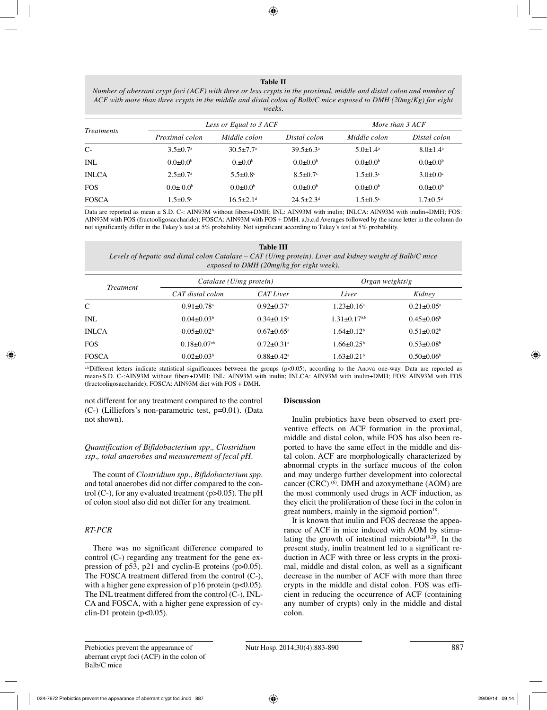#### **Table II**

*Number of aberrant crypt foci (ACF) with three or less crypts in the proximal, middle and distal colon and number of ACF with more than three crypts in the middle and distal colon of Balb/C mice exposed to DMH (20mg/Kg) for eight weeks.*

| <i>Treatments</i> |                            | Less or Equal to 3 ACF      |                             |                            | More than 3 ACF            |  |
|-------------------|----------------------------|-----------------------------|-----------------------------|----------------------------|----------------------------|--|
|                   | Proximal colon             | Middle colon                | Distal colon                | Middle colon               | Distal colon               |  |
| $C-$              | $3.5 \pm 0.7$ <sup>a</sup> | $30.5 \pm 7.7$ <sup>a</sup> | $39.5 \pm 6.3^{\circ}$      | $5.0 \pm 1.4^a$            | $8.0 \pm 1.4^{\text{a}}$   |  |
| <b>INL</b>        | $0.0 \pm 0.0^b$            | $0.10^{6}$                  | $0.0 \pm 0.0^b$             | $0.0 \pm 0.0^b$            | $0.0 \pm 0.0^b$            |  |
| <b>INLCA</b>      | $2.5 \pm 0.7^{\text{a}}$   | $5.5 \pm 0.8$ °             | $8.5 \pm 0.7$ °             | $1.5 \pm 0.3$ °            | $3.0 \pm 0.0$ <sup>c</sup> |  |
| <b>FOS</b>        | $0.0 \pm 0.0^b$            | $0.0 \pm 0.0^b$             | $0.0 \pm 0.0^b$             | $0.0 \pm 0.0^b$            | $0.0 \pm 0.0^b$            |  |
| <b>FOSCA</b>      | $1.5 \pm 0.5$ <sup>c</sup> | $16.5 \pm 2.1$ <sup>d</sup> | $24.5 \pm 2.3$ <sup>d</sup> | $1.5 \pm 0.5$ <sup>c</sup> | $1.7 \pm 0.5$ <sup>d</sup> |  |

Data are reported as mean ± S.D. C-: AIN93M without fibers+DMH; INL: AIN93M with inulin; INLCA: AIN93M with inulin+DMH; FOS: AIN93M with FOS (fructooligosaccharide); FOSCA: AIN93M with FOS + DMH. a,b,c,d Averages followed by the same letter in the column do not significantly differ in the Tukey's test at 5% probability. Not significant according to Tukey's test at 5% probability.

| Table III                                                                                                 |  |  |  |  |
|-----------------------------------------------------------------------------------------------------------|--|--|--|--|
| Levels of hepatic and distal colon Catalase – $CAT(U/mg$ protein). Liver and kidney weight of Balb/C mice |  |  |  |  |
| exposed to DMH (20mg/kg for eight week).                                                                  |  |  |  |  |

| <i>Treatment</i> | Catalase $(U/mg$ proteín)     |                              | Organ weights/g              |                              |
|------------------|-------------------------------|------------------------------|------------------------------|------------------------------|
|                  | CAT distal colon              | <b>CAT Liver</b>             | Liver                        | Kidney                       |
| $C-$             | $0.91 \pm 0.78$ <sup>a</sup>  | $0.92 \pm 0.37$ <sup>a</sup> | $1.23 \pm 0.16^a$            | $0.21 \pm 0.05^{\text{a}}$   |
| INL              | $0.04 \pm 0.03^b$             | $0.34 \pm 0.15^{\text{a}}$   | $1.31 \pm 0.17^{a,b}$        | $0.45 \pm 0.06^b$            |
| <b>INLCA</b>     | $0.05 \pm 0.02^b$             | $0.67 \pm 0.65^{\text{a}}$   | $1.64 \pm 0.12^b$            | $0.51 \pm 0.02^b$            |
| <b>FOS</b>       | $0.18 \pm 0.07$ <sup>ab</sup> | $0.72 \pm 0.31$ <sup>a</sup> | $1.66 \pm 0.25^{\circ}$      | $0.53 \pm 0.08$ <sup>b</sup> |
| <b>FOSCA</b>     | $0.02 \pm 0.03^b$             | $0.88 \pm 0.42$ <sup>a</sup> | $1.63 \pm 0.21$ <sup>b</sup> | $0.50 \pm 0.06^b$            |

a,bDifferent letters indicate statistical significances between the groups (p<0.05), according to the Anova one-way. Data are reported as mean±S.D. C-:AIN93M without fibers+DMH; INL: AIN93M with inulin; INLCA: AIN93M with inulin+DMH; FOS: AIN93M with FOS (fructooligosaccharide); FOSCA: AIN93M diet with FOS + DMH.

not different for any treatment compared to the control (C-) (Lilliefors's non-parametric test, p=0.01). (Data not shown).

#### *Quantification of Bifidobacterium spp., Clostridium ssp., total anaerobes and measurement of fecal pH.*

The count of *Clostridium spp.*, *Bifidobacterium spp*. and total anaerobes did not differ compared to the control  $(C<sub>-</sub>)$ , for any evaluated treatment  $(p>0.05)$ . The pH of colon stool also did not differ for any treatment.

#### *RT-PCR*

There was no significant difference compared to control (C-) regarding any treatment for the gene expression of p53, p21 and cyclin-E proteins (p>0.05). The FOSCA treatment differed from the control (C-), with a higher gene expression of p16 protein (p<0.05). The INL treatment differed from the control (C-), INL-CA and FOSCA, with a higher gene expression of cyclin-D1 protein (p<0.05).

#### **Discussion**

Inulin prebiotics have been observed to exert preventive effects on ACF formation in the proximal, middle and distal colon, while FOS has also been reported to have the same effect in the middle and distal colon. ACF are morphologically characterized by abnormal crypts in the surface mucous of the colon and may undergo further development into colorectal cancer (CRC)  $(6)$ . DMH and azoxymethane (AOM) are the most commonly used drugs in ACF induction, as they elicit the proliferation of these foci in the colon in great numbers, mainly in the sigmoid portion<sup>18</sup>.

It is known that inulin and FOS decrease the appearance of ACF in mice induced with AOM by stimulating the growth of intestinal microbiota<sup>19,20</sup>. In the present study, inulin treatment led to a significant reduction in ACF with three or less crypts in the proximal, middle and distal colon, as well as a significant decrease in the number of ACF with more than three crypts in the middle and distal colon. FOS was efficient in reducing the occurrence of ACF (containing any number of crypts) only in the middle and distal colon.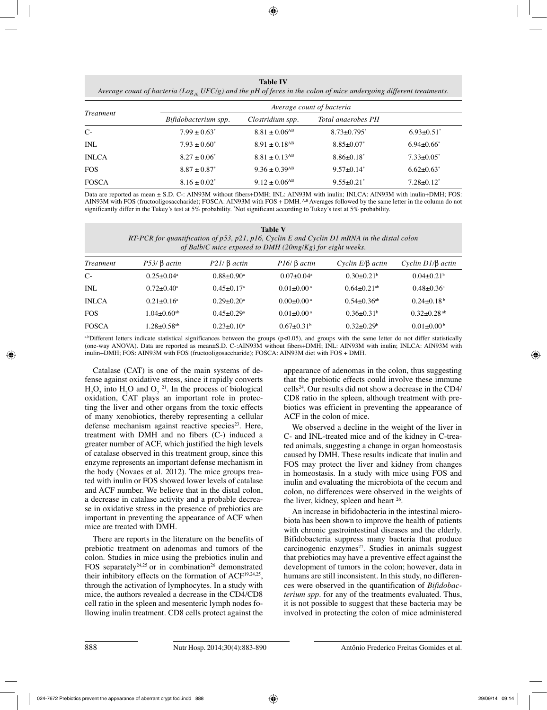**Table IV**

*Average count of bacteria (Log<sub>10</sub> UFC/g) and the pH of feces in the colon of mice undergoing different treatments.* 

|                  | Average count of bacteria |                               |                               |                   |  |
|------------------|---------------------------|-------------------------------|-------------------------------|-------------------|--|
| <i>Treatment</i> | Bifidobacterium spp.      | Clostridium spp.              | Total anaerobes PH            |                   |  |
| $C-$             | $7.99 \pm 0.63^*$         | $8.81 \pm 0.06$ <sup>AB</sup> | $8.73 \pm 0.795$ <sup>*</sup> | $6.93 \pm 0.51^*$ |  |
| <b>INL</b>       | $7.93 \pm 0.60^*$         | $8.91 \pm 0.18$ <sup>AB</sup> | $8.85 \pm 0.07^*$             | $6.94 \pm 0.66^*$ |  |
| <b>INLCA</b>     | $8.27 \pm 0.06^*$         | $8.81 \pm 0.13$ <sup>AB</sup> | $8.86 \pm 0.18^*$             | $7.33 \pm 0.05^*$ |  |
| <b>FOS</b>       | $8.87 \pm 0.87^*$         | $9.36 \pm 0.39$ <sup>AB</sup> | $9.57 \pm 0.14^*$             | $6.62 \pm 0.63^*$ |  |
| <b>FOSCA</b>     | $8.16 \pm 0.02^*$         | $9.12 \pm 0.06$ <sup>AB</sup> | $9.55 \pm 0.21^*$             | $7.28 \pm 0.12^*$ |  |

Data are reported as mean ± S.D. C-: AIN93M without fibers+DMH; INL: AIN93M with inulin; INLCA: AIN93M with inulin+DMH; FOS: AIN93M with FOS (fructooligosaccharide); FOSCA: AIN93M with FOS + DMH. AB Averages followed by the same letter in the column do not significantly differ in the Tukey's test at 5% probability. "Not significant according to Tukey's test at 5% probability.

| <b>Table V</b>                                                                              |  |  |  |  |
|---------------------------------------------------------------------------------------------|--|--|--|--|
| RT-PCR for quantification of p53, p21, p16, Cyclin E and Cyclin D1 mRNA in the distal colon |  |  |  |  |
| of Balb/C mice exposed to DMH ( $20mg/Kg$ ) for eight weeks.                                |  |  |  |  |

| <i>Treatment</i> | $P53$ / $\beta$ actin         | $P21/ \beta$ actin           | $P16/ \beta$ actin           | Cyclin $E/\beta$ actin        | $Cyclin D1/\beta$ actin      |
|------------------|-------------------------------|------------------------------|------------------------------|-------------------------------|------------------------------|
| $C-$             | $0.25 \pm 0.04$ <sup>a</sup>  | $0.88 \pm 0.90^{\circ}$      | $0.07 \pm 0.04$ <sup>a</sup> | $0.30 + 0.21$ <sup>b</sup>    | $0.04 + 0.21$ <sup>b</sup>   |
| INL              | $0.72 \pm 0.40^{\circ}$       | $0.45 + 0.17$ <sup>a</sup>   | $0.01 \pm 0.00$ <sup>a</sup> | $0.64 \pm 0.21$ <sup>ab</sup> | $0.48 \pm 0.36^{\circ}$      |
| <b>INLCA</b>     | $0.21 + 0.16^a$               | $0.29 \pm 0.20$ <sup>a</sup> | $0.00 \pm 0.00$ <sup>a</sup> | $0.54 + 0.36$ <sup>ab</sup>   | $0.24 + 0.18b$               |
| <b>FOS</b>       | $1.04 \pm 0.60$ <sup>ab</sup> | $0.45 \pm 0.29$ <sup>a</sup> | $0.01 \pm 0.00$ <sup>a</sup> | $0.36 \pm 0.31$ <sup>b</sup>  | $0.32\pm0.28$ <sup>ab</sup>  |
| <b>FOSCA</b>     | $1.28 \pm 0.58$ <sup>ab</sup> | $0.23 \pm 0.10^a$            | $0.67 \pm 0.31^{\circ}$      | $0.32\pm0.29^b$               | $0.01 \pm 0.00^{\mathrm{b}}$ |

a,bDifferent letters indicate statistical significances between the groups ( $p<0.05$ ), and groups with the same letter do not differ statistically (one-way ANOVA). Data are reported as mean±S.D. C-:AIN93M without fibers+DMH; INL: AIN93M with inulin; INLCA: AIN93M with inulin+DMH; FOS: AIN93M with FOS (fructooligosaccharide); FOSCA: AIN93M diet with FOS + DMH.

Catalase (CAT) is one of the main systems of defense against oxidative stress, since it rapidly converts  $H_2O_2$  into  $H_2O$  and  $O_2$ <sup>21</sup>. In the process of biological oxidation, CAT plays an important role in protecting the liver and other organs from the toxic effects of many xenobiotics, thereby representing a cellular defense mechanism against reactive species<sup>23</sup>. Here, treatment with DMH and no fibers (C-) induced a greater number of ACF, which justified the high levels of catalase observed in this treatment group, since this enzyme represents an important defense mechanism in the body (Novaes et al. 2012). The mice groups treated with inulin or FOS showed lower levels of catalase and ACF number. We believe that in the distal colon, a decrease in catalase activity and a probable decrease in oxidative stress in the presence of prebiotics are important in preventing the appearance of ACF when mice are treated with DMH.

There are reports in the literature on the benefits of prebiotic treatment on adenomas and tumors of the colon. Studies in mice using the prebiotics inulin and FOS separately<sup>24,25</sup> or in combination<sup>26</sup> demonstrated their inhibitory effects on the formation of ACF<sup>19,24,25</sup>, through the activation of lymphocytes. In a study with mice, the authors revealed a decrease in the CD4/CD8 cell ratio in the spleen and mesenteric lymph nodes following inulin treatment. CD8 cells protect against the appearance of adenomas in the colon, thus suggesting that the prebiotic effects could involve these immune cells24. Our results did not show a decrease in the CD4/ CD8 ratio in the spleen, although treatment with prebiotics was efficient in preventing the appearance of ACF in the colon of mice.

We observed a decline in the weight of the liver in C- and INL-treated mice and of the kidney in C-treated animals, suggesting a change in organ homeostasis caused by DMH. These results indicate that inulin and FOS may protect the liver and kidney from changes in homeostasis. In a study with mice using FOS and inulin and evaluating the microbiota of the cecum and colon, no differences were observed in the weights of the liver, kidney, spleen and heart <sup>26</sup>.

An increase in bifidobacteria in the intestinal microbiota has been shown to improve the health of patients with chronic gastrointestinal diseases and the elderly. Bifidobacteria suppress many bacteria that produce carcinogenic enzymes<sup>27</sup>. Studies in animals suggest that prebiotics may have a preventive effect against the development of tumors in the colon; however, data in humans are still inconsistent. In this study, no differences were observed in the quantification of *Bifidobacterium spp*. for any of the treatments evaluated. Thus, it is not possible to suggest that these bacteria may be involved in protecting the colon of mice administered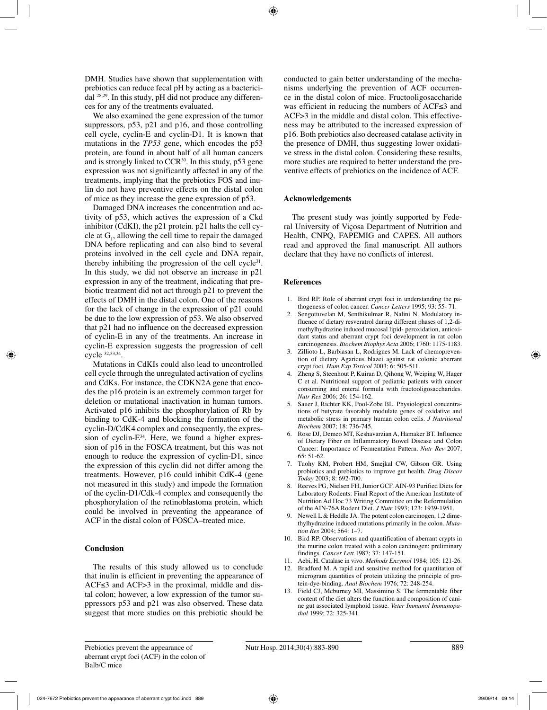DMH. Studies have shown that supplementation with prebiotics can reduce fecal pH by acting as a bactericidal 28,29. In this study, pH did not produce any differences for any of the treatments evaluated.

We also examined the gene expression of the tumor suppressors, p53, p21 and p16, and those controlling cell cycle, cyclin-E and cyclin-D1. It is known that mutations in the *TP53* gene, which encodes the p53 protein, are found in about half of all human cancers and is strongly linked to  $CCR^{30}$ . In this study, p53 gene expression was not significantly affected in any of the treatments, implying that the prebiotics FOS and inulin do not have preventive effects on the distal colon of mice as they increase the gene expression of p53.

Damaged DNA increases the concentration and activity of p53, which actives the expression of a Ckd inhibitor (CdKI), the p21 protein. p21 halts the cell cycle at  $G_1$ , allowing the cell time to repair the damaged DNA before replicating and can also bind to several proteins involved in the cell cycle and DNA repair, thereby inhibiting the progression of the cell cycle $31$ . In this study, we did not observe an increase in p21 expression in any of the treatment, indicating that prebiotic treatment did not act through p21 to prevent the effects of DMH in the distal colon. One of the reasons for the lack of change in the expression of p21 could be due to the low expression of p53. We also observed that p21 had no influence on the decreased expression of cyclin-E in any of the treatments. An increase in cyclin-E expression suggests the progression of cell cycle 32,33,34.

Mutations in CdKIs could also lead to uncontrolled cell cycle through the unregulated activation of cyclins and CdKs. For instance, the CDKN2A gene that encodes the p16 protein is an extremely common target for deletion or mutational inactivation in human tumors. Activated p16 inhibits the phosphorylation of Rb by binding to CdK-4 and blocking the formation of the cyclin-D/CdK4 complex and consequently, the expression of cyclin- $E^{34}$ . Here, we found a higher expression of p16 in the FOSCA treatment, but this was not enough to reduce the expression of cyclin-D1, since the expression of this cyclin did not differ among the treatments. However, p16 could inhibit CdK-4 (gene not measured in this study) and impede the formation of the cyclin-D1/Cdk-4 complex and consequently the phosphorylation of the retinoblastoma protein, which could be involved in preventing the appearance of ACF in the distal colon of FOSCA–treated mice.

#### **Conclusion**

The results of this study allowed us to conclude that inulin is efficient in preventing the appearance of ACF≤3 and ACF>3 in the proximal, middle and distal colon; however, a low expression of the tumor suppressors p53 and p21 was also observed. These data suggest that more studies on this prebiotic should be conducted to gain better understanding of the mechanisms underlying the prevention of ACF occurrence in the distal colon of mice. Fructooligosaccharide was efficient in reducing the numbers of ACF≤3 and ACF>3 in the middle and distal colon. This effectiveness may be attributed to the increased expression of p16. Both prebiotics also decreased catalase activity in the presence of DMH, thus suggesting lower oxidative stress in the distal colon. Considering these results, more studies are required to better understand the preventive effects of prebiotics on the incidence of ACF.

#### **Acknowledgements**

The present study was jointly supported by Federal University of Viçosa Department of Nutrition and Health, CNPQ, FAPEMIG and CAPES. All authors read and approved the final manuscript. All authors declare that they have no conflicts of interest.

#### **References**

- 1. Bird RP. Role of aberrant crypt foci in understanding the pathogenesis of colon cancer. *Cancer Letters* 1995; 93: 55- 71.
- 2. Sengottuvelan M, Senthikulmar R, Nalini N. Modulatory influence of dietary resveratrol during different phases of 1,2-dimethylhydrazine induced mucosal lipid- peroxidation, antioxidant status and aberrant crypt foci development in rat colon carcinogenesis. *Biochem Biophys Acta* 2006; 1760: 1175-1183.
- 3. Zillioto L, Barbiasan L, Rodrigues M. Lack of chemoprevention of dietary Agaricus blazei against rat colonic aberrant crypt foci. *Hum Exp Toxicol* 2003; 6: 505-511.
- 4. Zheng S, Steenhout P, Kuiran D, Qihong W, Weiping W, Hager C et al. Nutritional support of pediatric patients with cancer consuming and enteral formula with fructooligosaccharides. *Nutr Res* 2006; 26: 154-162.
- 5. Sauer J, Richter KK, Pool-Zobe BL. Physiological concentrations of butyrate favorably modulate genes of oxidative and metabolic stress in primary human colon cells. *J Nutritional Biochem* 2007; 18: 736-745.
- 6. Rose DJ, Demeo MT, Keshavarzian A, Hamaker BT. Influence of Dietary Fiber on Inflammatory Bowel Disease and Colon Cancer: Importance of Fermentation Pattern. *Nutr Rev* 2007; 65: 51-62.
- 7. Tuohy KM, Probert HM, Smejkal CW, Gibson GR. Using probiotics and prebiotics to improve gut health. *Drug Discov Today* 2003; 8: 692-700.
- 8. Reeves PG, Nielsen FH, Junior GCF. AIN-93 Purified Diets for Laboratory Rodents: Final Report of the American Institute of Nutrition Ad Hoc 73 Writing Committee on the Reformulation of the AIN-76A Rodent Diet. *J Nutr* 1993; 123: 1939-1951.
- 9. Newell L & Heddle JA. The potent colon carcinogen, 1,2 dimethylhydrazine induced mutations primarily in the colon. *Mutation Res* 2004; 564: 1–7.
- Bird RP. Observations and quantification of aberrant crypts in the murine colon treated with a colon carcinogen: preliminary findings. *Cancer Lett* 1987; 37: 147-151.
- 11. Aebi, H. Catalase in vivo. *Methods Enzymol* 1984; 105: 121-26.
- 12. Bradford M. A rapid and sensitive method for quantitation of microgram quantities of protein utilizing the principle of protein-dye-binding. *Anal Biochem* 1976; 72: 248-254.
- 13. Field CJ, Mcburney MI, Massimino S. The fermentable fiber content of the diet alters the function and composition of canine gut associated lymphoid tissue. *Veter Immunol Immunopathol* 1999; 72: 325-341.